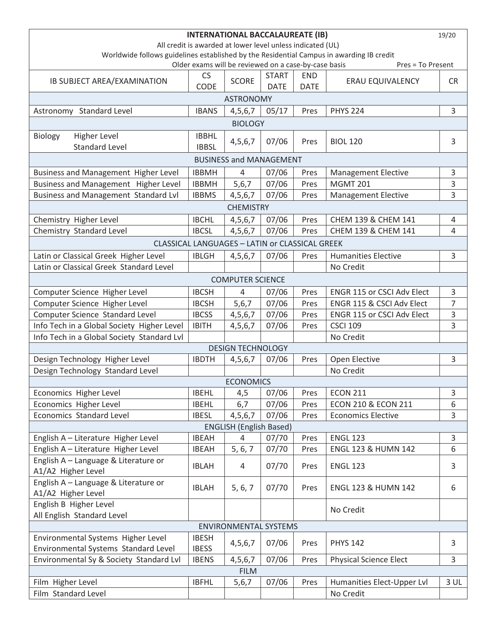| <b>INTERNATIONAL BACCALAUREATE (IB)</b><br>19/20                                                                                                                      |              |                          |              |             |                                |                |  |  |  |  |  |
|-----------------------------------------------------------------------------------------------------------------------------------------------------------------------|--------------|--------------------------|--------------|-------------|--------------------------------|----------------|--|--|--|--|--|
| All credit is awarded at lower level unless indicated (UL)                                                                                                            |              |                          |              |             |                                |                |  |  |  |  |  |
| Worldwide follows guidelines established by the Residential Campus in awarding IB credit<br>Older exams will be reviewed on a case-by-case basis<br>Pres = To Present |              |                          |              |             |                                |                |  |  |  |  |  |
|                                                                                                                                                                       | <b>CS</b>    |                          | <b>START</b> | <b>END</b>  |                                |                |  |  |  |  |  |
| IB SUBJECT AREA/EXAMINATION                                                                                                                                           | <b>CODE</b>  | <b>SCORE</b>             | <b>DATE</b>  | <b>DATE</b> | <b>ERAU EQUIVALENCY</b>        | <b>CR</b>      |  |  |  |  |  |
| <b>ASTRONOMY</b>                                                                                                                                                      |              |                          |              |             |                                |                |  |  |  |  |  |
| Astronomy Standard Level                                                                                                                                              | <b>IBANS</b> | 4,5,6,7                  | 05/17        | Pres        | <b>PHYS 224</b>                | 3              |  |  |  |  |  |
| <b>BIOLOGY</b>                                                                                                                                                        |              |                          |              |             |                                |                |  |  |  |  |  |
| <b>Higher Level</b><br>Biology                                                                                                                                        | <b>IBBHL</b> |                          |              |             |                                |                |  |  |  |  |  |
| <b>Standard Level</b>                                                                                                                                                 | <b>IBBSL</b> | 4,5,6,7                  | 07/06        | Pres        | <b>BIOL 120</b>                | 3              |  |  |  |  |  |
| <b>BUSINESS and MANAGEMENT</b>                                                                                                                                        |              |                          |              |             |                                |                |  |  |  |  |  |
| Business and Management Higher Level                                                                                                                                  | <b>IBBMH</b> | 4                        | 07/06        | Pres        | <b>Management Elective</b>     | 3              |  |  |  |  |  |
| Business and Management Higher Level                                                                                                                                  | <b>IBBMH</b> | 5,6,7                    | 07/06        | Pres        | <b>MGMT 201</b>                | 3              |  |  |  |  |  |
| <b>Business and Management Standard Lvl</b>                                                                                                                           | <b>IBBMS</b> | 4, 5, 6, 7               | 07/06        | Pres        | <b>Management Elective</b>     | 3              |  |  |  |  |  |
|                                                                                                                                                                       |              | <b>CHEMISTRY</b>         |              |             |                                |                |  |  |  |  |  |
| Chemistry Higher Level                                                                                                                                                | <b>IBCHL</b> | 4,5,6,7                  | 07/06        | Pres        | CHEM 139 & CHEM 141            | 4              |  |  |  |  |  |
| Chemistry Standard Level                                                                                                                                              | <b>IBCSL</b> | 4, 5, 6, 7               | 07/06        | Pres        | CHEM 139 & CHEM 141            | 4              |  |  |  |  |  |
| CLASSICAL LANGUAGES - LATIN or CLASSICAL GREEK                                                                                                                        |              |                          |              |             |                                |                |  |  |  |  |  |
| Latin or Classical Greek Higher Level                                                                                                                                 | <b>IBLGH</b> | 4,5,6,7                  | 07/06        | Pres        | <b>Humanities Elective</b>     | 3              |  |  |  |  |  |
| Latin or Classical Greek Standard Level                                                                                                                               |              |                          |              |             | No Credit                      |                |  |  |  |  |  |
|                                                                                                                                                                       |              | <b>COMPUTER SCIENCE</b>  |              |             |                                |                |  |  |  |  |  |
| Computer Science Higher Level                                                                                                                                         | <b>IBCSH</b> | 4                        | 07/06        | Pres        | ENGR 115 or CSCI Adv Elect     | 3              |  |  |  |  |  |
| Computer Science Higher Level                                                                                                                                         | <b>IBCSH</b> | 5,6,7                    | 07/06        | Pres        | ENGR 115 & CSCI Adv Elect      | $\overline{7}$ |  |  |  |  |  |
| Computer Science Standard Level                                                                                                                                       | <b>IBCSS</b> | 4,5,6,7                  | 07/06        | Pres        | ENGR 115 or CSCI Adv Elect     | 3              |  |  |  |  |  |
| Info Tech in a Global Society Higher Level                                                                                                                            | <b>IBITH</b> | 4, 5, 6, 7               | 07/06        | Pres        | <b>CSCI 109</b>                | 3              |  |  |  |  |  |
| Info Tech in a Global Society Standard Lvl                                                                                                                            |              |                          |              |             | No Credit                      |                |  |  |  |  |  |
|                                                                                                                                                                       |              | <b>DESIGN TECHNOLOGY</b> |              |             |                                |                |  |  |  |  |  |
| Design Technology Higher Level                                                                                                                                        | <b>IBDTH</b> | 4, 5, 6, 7               | 07/06        | Pres        | Open Elective                  | 3              |  |  |  |  |  |
| Design Technology Standard Level                                                                                                                                      |              |                          |              |             | No Credit                      |                |  |  |  |  |  |
|                                                                                                                                                                       |              | <b>ECONOMICS</b>         |              |             |                                |                |  |  |  |  |  |
| Economics Higher Level                                                                                                                                                | <b>IBEHL</b> | 4,5                      | 07/06        | Pres        | <b>ECON 211</b>                | 3              |  |  |  |  |  |
| Economics Higher Level                                                                                                                                                | <b>IBEHL</b> | 6,7                      | 07/06        | Pres        | <b>ECON 210 &amp; ECON 211</b> | 6              |  |  |  |  |  |
| Economics Standard Level                                                                                                                                              | <b>IBESL</b> | 4,5,6,7                  | 07/06        | Pres        | <b>Economics Elective</b>      | 3              |  |  |  |  |  |
| <b>ENGLISH (English Based)</b>                                                                                                                                        |              |                          |              |             |                                |                |  |  |  |  |  |
| English A - Literature Higher Level                                                                                                                                   | <b>IBEAH</b> | 4                        | 07/70        | Pres        | <b>ENGL 123</b>                | 3              |  |  |  |  |  |
| English A - Literature Higher Level                                                                                                                                   | <b>IBEAH</b> | 5, 6, 7                  | 07/70        | Pres        | <b>ENGL 123 &amp; HUMN 142</b> | 6              |  |  |  |  |  |
| English A - Language & Literature or<br>A1/A2 Higher Level                                                                                                            | <b>IBLAH</b> | 4                        | 07/70        | Pres        | <b>ENGL 123</b>                | 3              |  |  |  |  |  |
| English A - Language & Literature or                                                                                                                                  |              |                          |              |             |                                |                |  |  |  |  |  |
| A1/A2 Higher Level                                                                                                                                                    | <b>IBLAH</b> | 5, 6, 7                  | 07/70        | Pres        | <b>ENGL 123 &amp; HUMN 142</b> | 6              |  |  |  |  |  |
| English B Higher Level                                                                                                                                                |              |                          |              |             | No Credit                      |                |  |  |  |  |  |
| All English Standard Level<br><b>ENVIRONMENTAL SYSTEMS</b>                                                                                                            |              |                          |              |             |                                |                |  |  |  |  |  |
| Environmental Systems Higher Level                                                                                                                                    | <b>IBESH</b> |                          |              |             |                                |                |  |  |  |  |  |
| Environmental Systems Standard Level                                                                                                                                  | <b>IBESS</b> | 4,5,6,7                  | 07/06        | Pres        | <b>PHYS 142</b>                | 3              |  |  |  |  |  |
| Environmental Sy & Society Standard Lvl                                                                                                                               | <b>IBENS</b> | 4,5,6,7                  | 07/06        | Pres        | <b>Physical Science Elect</b>  | 3              |  |  |  |  |  |
| <b>FILM</b>                                                                                                                                                           |              |                          |              |             |                                |                |  |  |  |  |  |
| Film Higher Level                                                                                                                                                     | <b>IBFHL</b> | 5,6,7                    | 07/06        | Pres        | Humanities Elect-Upper Lvl     | 3 UL           |  |  |  |  |  |
| Film Standard Level                                                                                                                                                   |              |                          |              |             | No Credit                      |                |  |  |  |  |  |